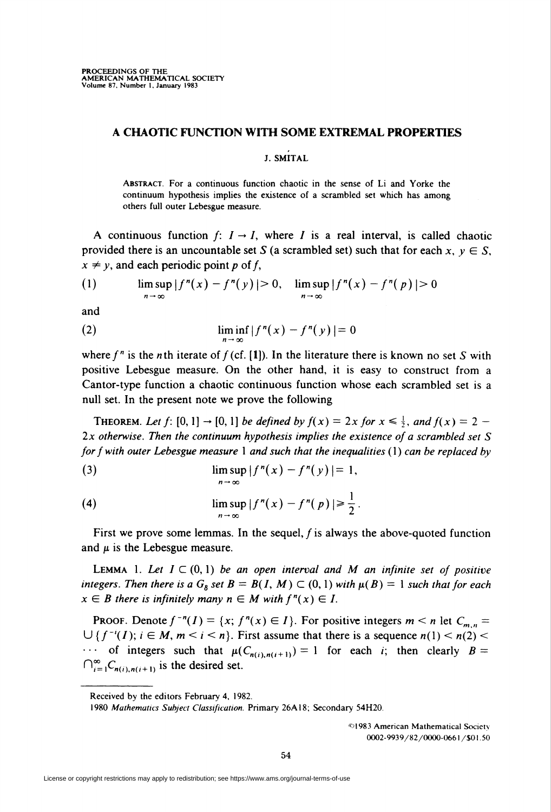## A CHAOTIC FUNCTION WITH SOME EXTREMAL PROPERTIES

## J. SMITAL

Abstract. For a continuous function chaotic in the sense of Li and Yorke the continuum hypothesis implies the existence of a scrambled set which has among others full outer Lebesgue measure.

A continuous function  $f: I \rightarrow I$ , where I is a real interval, is called chaotic provided there is an uncountable set S (a scrambled set) such that for each  $x, y \in S$ ,  $x \neq y$ , and each periodic point p of f,

(1) 
$$
\limsup_{n \to \infty} |f^n(x) - f^n(y)| > 0, \quad \limsup_{n \to \infty} |f^n(x) - f^n(p)| > 0
$$

and

$$
\liminf_{n \to \infty} |f^n(x) - f^n(y)| = 0
$$

where  $f''$  is the nth iterate of  $f$  (cf. [1]). In the literature there is known no set S with positive Lebesgue measure. On the other hand, it is easy to construct from a Cantor-type function a chaotic continuous function whose each scrambled set is a null set. In the present note we prove the following

THEOREM. Let f: [0, 1]  $\rightarrow$  [0, 1] be defined by  $f(x) = 2x$  for  $x \le \frac{1}{2}$ , and  $f(x) = 2$  - $2x$  otherwise. Then the continuum hypothesis implies the existence of a scrambled set  $S$ for f with outer Lebesgue measure 1 and such that the inequalities  $(1)$  can be replaced by

(3) 
$$
\limsup_{n \to \infty} |f^n(x) - f^n(y)| = 1,
$$

(4) 
$$
\limsup_{n \to \infty} |f^n(x) - f^n(p)| \geq \frac{1}{2}
$$

First we prove some lemmas. In the sequel,  $f$  is always the above-quoted function and  $\mu$  is the Lebesgue measure.

**LEMMA** 1. Let  $I \subset (0,1)$  be an open interval and M an infinite set of positive integers. Then there is a  $G_{\delta}$  set  $B = B(I, M) \subset (0, 1)$  with  $\mu(B) = 1$  such that for each  $x \in B$  there is infinitely many  $n \in M$  with  $f''(x) \in I$ .

**PROOF.** Denote  $f^{-n}(I) = \{x; f^{n}(x) \in I\}$ . For positive integers  $m < n$  let  $C_{m, n} =$  $\bigcup$  { $f^{-i}(I)$ ;  $i \in M$ ,  $m < i < n$ }. First assume that there is a sequence  $n(1) < n(2) <$  $\cdots$  of integers such that  $\mu(C_{n(i),n(i+1)}) = 1$  for each *i*; then clearly  $B =$  $\bigcap_{i=1}^{\infty}C_{n(i),n(i+1)}$  is the desired set.

©1983 American Mathematical Society 0O02-9939/82/0O0O-O661 /\$01.50

Received by the editors February 4, 1982.

<sup>1980</sup> Mathematics Subject Classification. Primary 26A18; Secondary 54H20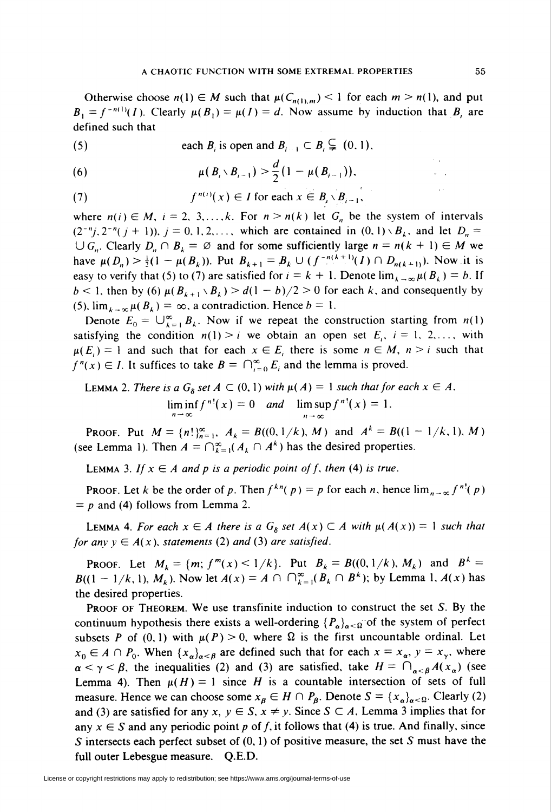Otherwise choose  $n(1) \in M$  such that  $\mu(C_{n(1),m}) < 1$  for each  $m > n(1)$ , and put  $B_1 = f^{-n(1)}(I)$ . Clearly  $\mu(B_1) = \mu(I) = d$ . Now assume by induction that B, are defined such that

(5) each  $B_i$  is open and  $B_{i-1} \subset B_i \subsetneq (0, 1)$ ,

(6) 
$$
\mu(B_i \setminus B_{i-1}) > \frac{d}{2}(1 - \mu(B_{i-1})),
$$

(7) 
$$
f^{n(i)}(x) \in I \text{ for each } x \in B_i \setminus B_{i-1},
$$

where  $n(i) \in M$ ,  $i = 2, 3,...,k$ . For  $n > n(k)$  let  $G_n$  be the system of intervals  $(2^{-n}j, 2^{-n}(j + 1)), j = 0, 1, 2, \ldots$ , which are contained in  $(0, 1) \setminus B_{k}$ , and let  $D_{n} =$  $\bigcup G_n$ . Clearly  $D_n \cap B_k = \emptyset$  and for some sufficiently large  $n = n(k + 1) \in M$  we have  $\mu(D_n) > \frac{1}{2}(1 - \mu(B_k))$ . Put  $B_{k+1} = B_k \cup (f^{-n(k+1)}(I) \cap D_{n(k+1)})$ . Now it is easy to verify that (5) to (7) are satisfied for  $i = k + 1$ . Denote  $\lim_{k \to \infty} \mu(B_k) = b$ . If  $b < 1$ , then by (6)  $\mu(B_{k+1} \setminus B_k) > d(1 - b)/2 > 0$  for each k, and consequently by (5).  $\lim_{k \to \infty} \mu(B_k) = \infty$ , a contradiction. Hence  $b = 1$ .

Denote  $E_0 = \bigcup_{k=1}^{\infty} B_k$ . Now if we repeat the construction starting from  $n(1)$ satisfying the condition  $n(1) > i$  we obtain an open set  $E_i$ ,  $i = 1, 2, \dots$ , with  $\mu(E_i) = 1$  and such that for each  $x \in E$ , there is some  $n \in M$ ,  $n > i$  such that  $f''(x) \in I$ . It suffices to take  $B = \bigcap_{i=0}^{\infty} E_i$  and the lemma is proved.

LEMMA 2. There is a 
$$
G_{\delta}
$$
 set  $A \subset (0, 1)$  with  $\mu(A) = 1$  such that for each  $x \in A$ .  
\n
$$
\liminf_{n \to \infty} f^{n!}(x) = 0 \quad \text{and} \quad \limsup_{n \to \infty} f^{n!}(x) = 1.
$$

PROOF. Put  $M = {n!}_{n=1}^{\infty}, A_k = B((0, 1/k), M)$  and  $A^k = B((1 - 1/k, 1), M)$ (see Lemma 1). Then  $A = \bigcap_{k=1}^{\infty} (A_k \cap A^k)$  has the desired properties.

LEMMA 3. If  $x \in A$  and p is a periodic point of f, then (4) is true.

PROOF. Let k be the order of p. Then  $f^{kn}(p) = p$  for each n, hence  $\lim_{n \to \infty} f^{n}(p)$  $= p$  and (4) follows from Lemma 2.

**LEMMA 4.** For each  $x \in A$  there is a  $G_{\delta}$  set  $A(x) \subset A$  with  $\mu(A(x)) = 1$  such that for any  $y \in A(x)$ , statements (2) and (3) are satisfied.

**PROOF.** Let  $M_k = \{m; f^m(x) \le 1/k\}$ . Put  $B_k = B((0, 1/k), M_k)$  and  $B^k =$  $B((1 - 1/k, 1), M_k)$ . Now let  $A(x) = A \cap \bigcap_{k=1}^{\infty} (B_k \cap B^k)$ ; by Lemma 1,  $A(x)$  has the desired properties.

**PROOF OF THEOREM.** We use transfinite induction to construct the set  $S$ . By the continuum hypothesis there exists a well-ordering  $\{P_{\alpha}\}_{{\alpha} \leq \Omega}$  of the system of perfect subsets P of (0, 1) with  $\mu(P) > 0$ , where  $\Omega$  is the first uncountable ordinal. Let  $x_0 \in A \cap P_0$ . When  $\{x_{\alpha}\}_{{\alpha} \in B}$  are defined such that for each  $x = x_{\alpha}, y = x_{\gamma}$ , where  $\alpha < \gamma < \beta$ , the inequalities (2) and (3) are satisfied, take  $H = \bigcap_{\alpha < \beta} A(x_\alpha)$  (see Lemma 4). Then  $\mu(H) = 1$  since H is a countable intersection of sets of full measure. Hence we can choose some  $x_{\beta} \in H \cap P_{\beta}$ . Denote  $S = \{x_{\alpha}\}_{{\alpha} \leq \Omega}$ . Clearly (2) and (3) are satisfied for any x,  $y \in S$ ,  $x \neq y$ . Since  $S \subset A$ , Lemma 3 implies that for any  $x \in S$  and any periodic point p of f, it follows that (4) is true. And finally, since S intersects each perfect subset of  $(0, 1)$  of positive measure, the set S must have the full outer Lebesgue measure. Q.E.D.